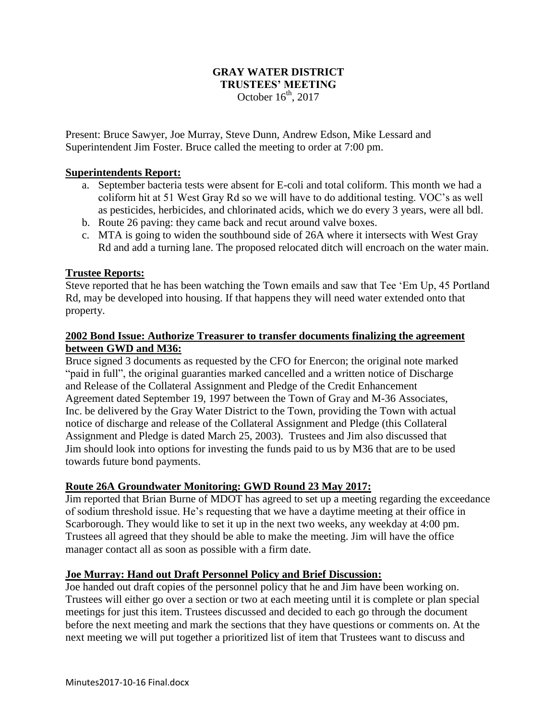## **GRAY WATER DISTRICT TRUSTEES' MEETING** October  $16<sup>th</sup>$ , 2017

Present: Bruce Sawyer, Joe Murray, Steve Dunn, Andrew Edson, Mike Lessard and Superintendent Jim Foster. Bruce called the meeting to order at 7:00 pm.

## **Superintendents Report:**

- a. September bacteria tests were absent for E-coli and total coliform. This month we had a coliform hit at 51 West Gray Rd so we will have to do additional testing. VOC's as well as pesticides, herbicides, and chlorinated acids, which we do every 3 years, were all bdl.
- b. Route 26 paving: they came back and recut around valve boxes.
- c. MTA is going to widen the southbound side of 26A where it intersects with West Gray Rd and add a turning lane. The proposed relocated ditch will encroach on the water main.

### **Trustee Reports:**

Steve reported that he has been watching the Town emails and saw that Tee 'Em Up, 45 Portland Rd, may be developed into housing. If that happens they will need water extended onto that property.

# **2002 Bond Issue: Authorize Treasurer to transfer documents finalizing the agreement between GWD and M36:**

Bruce signed 3 documents as requested by the CFO for Enercon; the original note marked "paid in full", the original guaranties marked cancelled and a written notice of Discharge and Release of the Collateral Assignment and Pledge of the Credit Enhancement Agreement dated September 19, 1997 between the Town of Gray and M-36 Associates, Inc. be delivered by the Gray Water District to the Town, providing the Town with actual notice of discharge and release of the Collateral Assignment and Pledge (this Collateral Assignment and Pledge is dated March 25, 2003). Trustees and Jim also discussed that Jim should look into options for investing the funds paid to us by M36 that are to be used towards future bond payments.

#### **Route 26A Groundwater Monitoring: GWD Round 23 May 2017:**

Jim reported that Brian Burne of MDOT has agreed to set up a meeting regarding the exceedance of sodium threshold issue. He's requesting that we have a daytime meeting at their office in Scarborough. They would like to set it up in the next two weeks, any weekday at 4:00 pm. Trustees all agreed that they should be able to make the meeting. Jim will have the office manager contact all as soon as possible with a firm date.

#### **Joe Murray: Hand out Draft Personnel Policy and Brief Discussion:**

Joe handed out draft copies of the personnel policy that he and Jim have been working on. Trustees will either go over a section or two at each meeting until it is complete or plan special meetings for just this item. Trustees discussed and decided to each go through the document before the next meeting and mark the sections that they have questions or comments on. At the next meeting we will put together a prioritized list of item that Trustees want to discuss and